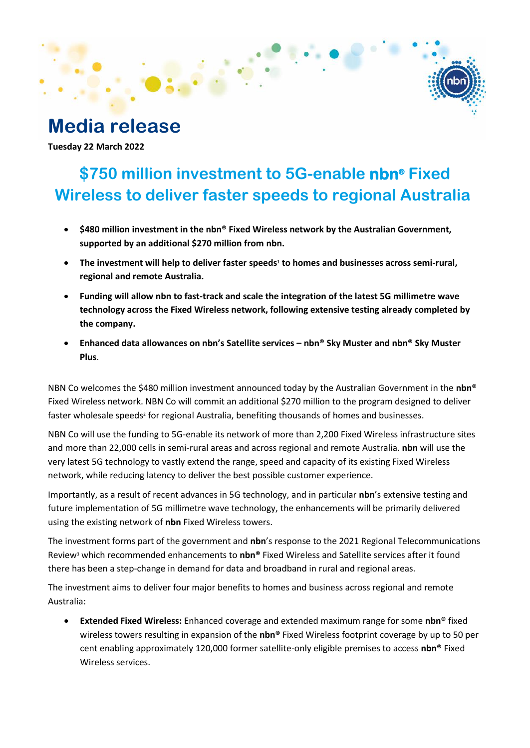# **Media release**

**Tuesday 22 March 2022**

## **\$750 million investment to 5G-enable nbn® Fixed Wireless to deliver faster speeds to regional Australia**

- **\$480 million investment in the nbn® Fixed Wireless network by the Australian Government, supported by an additional \$270 million from nbn.**
- **The investment will help to deliver faster speeds<sup>1</sup> to homes and businesses across semi-rural, regional and remote Australia.**
- **Funding will allow nbn to fast-track and scale the integration of the latest 5G millimetre wave technology across the Fixed Wireless network, following extensive testing already completed by the company.**
- **Enhanced data allowances on nbn's Satellite services – nbn® Sky Muster and nbn® Sky Muster Plus**.

NBN Co welcomes the \$480 million investment announced today by the Australian Government in the **nbn®** Fixed Wireless network. NBN Co will commit an additional \$270 million to the program designed to deliver faster wholesale speeds<sup>2</sup> for regional Australia, benefiting thousands of homes and businesses.

NBN Co will use the funding to 5G-enable its network of more than 2,200 Fixed Wireless infrastructure sites and more than 22,000 cells in semi-rural areas and across regional and remote Australia. **nbn** will use the very latest 5G technology to vastly extend the range, speed and capacity of its existing Fixed Wireless network, while reducing latency to deliver the best possible customer experience.

Importantly, as a result of recent advances in 5G technology, and in particular **nbn**'s extensive testing and future implementation of 5G millimetre wave technology, the enhancements will be primarily delivered using the existing network of **nbn** Fixed Wireless towers.

The investment forms part of the government and **nbn**'s response to the 2021 Regional Telecommunications Review<sup>3</sup> which recommended enhancements to **nbn®** Fixed Wireless and Satellite services after it found there has been a step-change in demand for data and broadband in rural and regional areas.

The investment aims to deliver four major benefits to homes and business across regional and remote Australia:

• **Extended Fixed Wireless:** Enhanced coverage and extended maximum range for some **nbn®** fixed wireless towers resulting in expansion of the **nbn®** Fixed Wireless footprint coverage by up to 50 per cent enabling approximately 120,000 former satellite-only eligible premises to access **nbn®** Fixed Wireless services.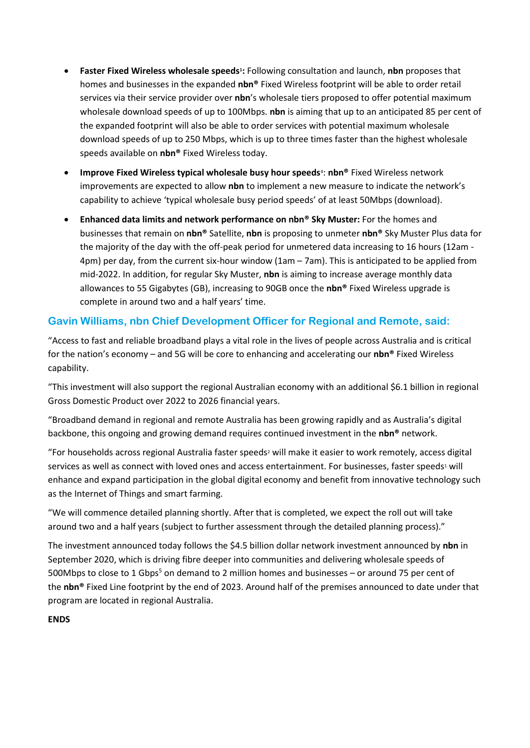- **Faster Fixed Wireless wholesale speeds<sup>1</sup> :** Following consultation and launch, **nbn** proposes that homes and businesses in the expanded **nbn®** Fixed Wireless footprint will be able to order retail services via their service provider over **nbn**'s wholesale tiers proposed to offer potential maximum wholesale download speeds of up to 100Mbps. **nbn** is aiming that up to an anticipated 85 per cent of the expanded footprint will also be able to order services with potential maximum wholesale download speeds of up to 250 Mbps, which is up to three times faster than the highest wholesale speeds available on **nbn®** Fixed Wireless today.
- **Improve Fixed Wireless typical wholesale busy hour speeds<sup>4</sup>: nbn® Fixed Wireless network** improvements are expected to allow **nbn** to implement a new measure to indicate the network's capability to achieve 'typical wholesale busy period speeds' of at least 50Mbps (download). .
- **Enhanced data limits and network performance on nbn® Sky Muster:** For the homes and businesses that remain on **nbn®** Satellite, **nbn** is proposing to unmeter **nbn®** Sky Muster Plus data for the majority of the day with the off-peak period for unmetered data increasing to 16 hours (12am - 4pm) per day, from the current six-hour window (1am – 7am). This is anticipated to be applied from mid-2022. In addition, for regular Sky Muster, **nbn** is aiming to increase average monthly data allowances to 55 Gigabytes (GB), increasing to 90GB once the **nbn®** Fixed Wireless upgrade is complete in around two and a half years' time.

### **Gavin Williams, nbn Chief Development Officer for Regional and Remote, said:**

"Access to fast and reliable broadband plays a vital role in the lives of people across Australia and is critical for the nation's economy – and 5G will be core to enhancing and accelerating our **nbn®** Fixed Wireless capability.

"This investment will also support the regional Australian economy with an additional \$6.1 billion in regional Gross Domestic Product over 2022 to 2026 financial years.

"Broadband demand in regional and remote Australia has been growing rapidly and as Australia's digital backbone, this ongoing and growing demand requires continued investment in the **nbn®** network.

"For households across regional Australia faster speeds<sup>2</sup> will make it easier to work remotely, access digital services as well as connect with loved ones and access entertainment. For businesses, faster speeds<sup>1</sup> will enhance and expand participation in the global digital economy and benefit from innovative technology such as the Internet of Things and smart farming.

"We will commence detailed planning shortly. After that is completed, we expect the roll out will take around two and a half years (subject to further assessment through the detailed planning process)."

The investment announced today follows the \$4.5 billion dollar network investment announced by **nbn** in September 2020, which is driving fibre deeper into communities and delivering wholesale speeds of 500Mbps to close to 1 Gbps<sup>5</sup> on demand to 2 million homes and businesses – or around 75 per cent of the **nbn®** Fixed Line footprint by the end of 2023. Around half of the premises announced to date under that program are located in regional Australia.

#### **ENDS**